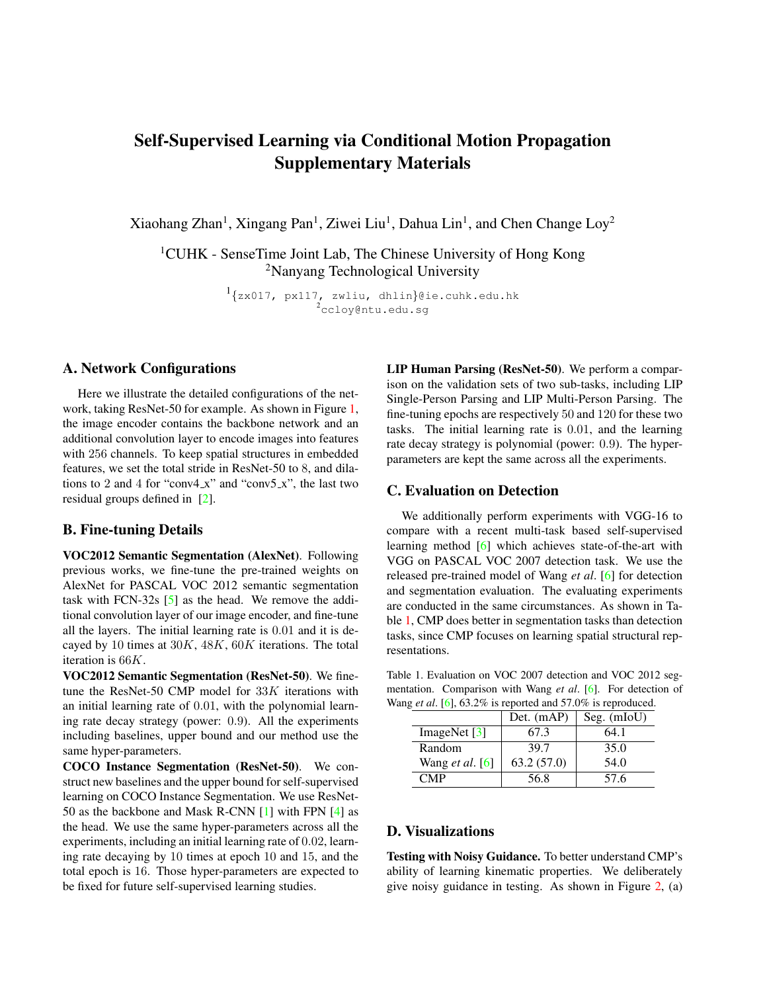# <span id="page-0-1"></span>Self-Supervised Learning via Conditional Motion Propagation Supplementary Materials

Xiaohang Zhan<sup>1</sup>, Xingang Pan<sup>1</sup>, Ziwei Liu<sup>1</sup>, Dahua Lin<sup>1</sup>, and Chen Change Loy<sup>2</sup>

<sup>1</sup>CUHK - SenseTime Joint Lab, The Chinese University of Hong Kong <sup>2</sup>Nanyang Technological University

> 1 {zx017, px117, zwliu, dhlin}@ie.cuhk.edu.hk  $^{2}$ ccloy@ntu.edu.sg

#### A. Network Configurations

Here we illustrate the detailed configurations of the network, taking ResNet-50 for example. As shown in Figure [1,](#page-1-0) the image encoder contains the backbone network and an additional convolution layer to encode images into features with 256 channels. To keep spatial structures in embedded features, we set the total stride in ResNet-50 to 8, and dilations to 2 and 4 for "conv4\_x" and "conv5\_x", the last two residual groups defined in [\[2\]](#page-2-0).

#### B. Fine-tuning Details

VOC2012 Semantic Segmentation (AlexNet). Following previous works, we fine-tune the pre-trained weights on AlexNet for PASCAL VOC 2012 semantic segmentation task with FCN-32s [\[5\]](#page-2-1) as the head. We remove the additional convolution layer of our image encoder, and fine-tune all the layers. The initial learning rate is 0.01 and it is decayed by 10 times at  $30K$ ,  $48K$ ,  $60K$  iterations. The total iteration is 66K.

VOC2012 Semantic Segmentation (ResNet-50). We finetune the ResNet-50 CMP model for  $33K$  iterations with an initial learning rate of 0.01, with the polynomial learning rate decay strategy (power: 0.9). All the experiments including baselines, upper bound and our method use the same hyper-parameters.

COCO Instance Segmentation (ResNet-50). We construct new baselines and the upper bound for self-supervised learning on COCO Instance Segmentation. We use ResNet-50 as the backbone and Mask R-CNN [\[1\]](#page-2-2) with FPN [\[4\]](#page-2-3) as the head. We use the same hyper-parameters across all the experiments, including an initial learning rate of 0.02, learning rate decaying by 10 times at epoch 10 and 15, and the total epoch is 16. Those hyper-parameters are expected to be fixed for future self-supervised learning studies.

LIP Human Parsing (ResNet-50). We perform a comparison on the validation sets of two sub-tasks, including LIP Single-Person Parsing and LIP Multi-Person Parsing. The fine-tuning epochs are respectively 50 and 120 for these two tasks. The initial learning rate is 0.01, and the learning rate decay strategy is polynomial (power: 0.9). The hyperparameters are kept the same across all the experiments.

#### C. Evaluation on Detection

We additionally perform experiments with VGG-16 to compare with a recent multi-task based self-supervised learning method [\[6\]](#page-2-4) which achieves state-of-the-art with VGG on PASCAL VOC 2007 detection task. We use the released pre-trained model of Wang *et al*. [\[6\]](#page-2-4) for detection and segmentation evaluation. The evaluating experiments are conducted in the same circumstances. As shown in Table [1,](#page-0-0) CMP does better in segmentation tasks than detection tasks, since CMP focuses on learning spatial structural representations.

<span id="page-0-0"></span>Table 1. Evaluation on VOC 2007 detection and VOC 2012 segmentation. Comparison with Wang *et al*. [\[6\]](#page-2-4). For detection of Wang *et al*. [\[6\]](#page-2-4), 63.2% is reported and 57.0% is reproduced.

|                        | Det. (mAP) | Seg. $(mIoU)$ |
|------------------------|------------|---------------|
| ImageNet $[3]$         | 67.3       | 64.1          |
| Random                 | 39.7       | 35.0          |
| Wang <i>et al.</i> [6] | 63.2(57.0) | 54.0          |
| CMP                    | 56.8       | 57.6          |

### D. Visualizations

Testing with Noisy Guidance. To better understand CMP's ability of learning kinematic properties. We deliberately give noisy guidance in testing. As shown in Figure [2,](#page-1-1) (a)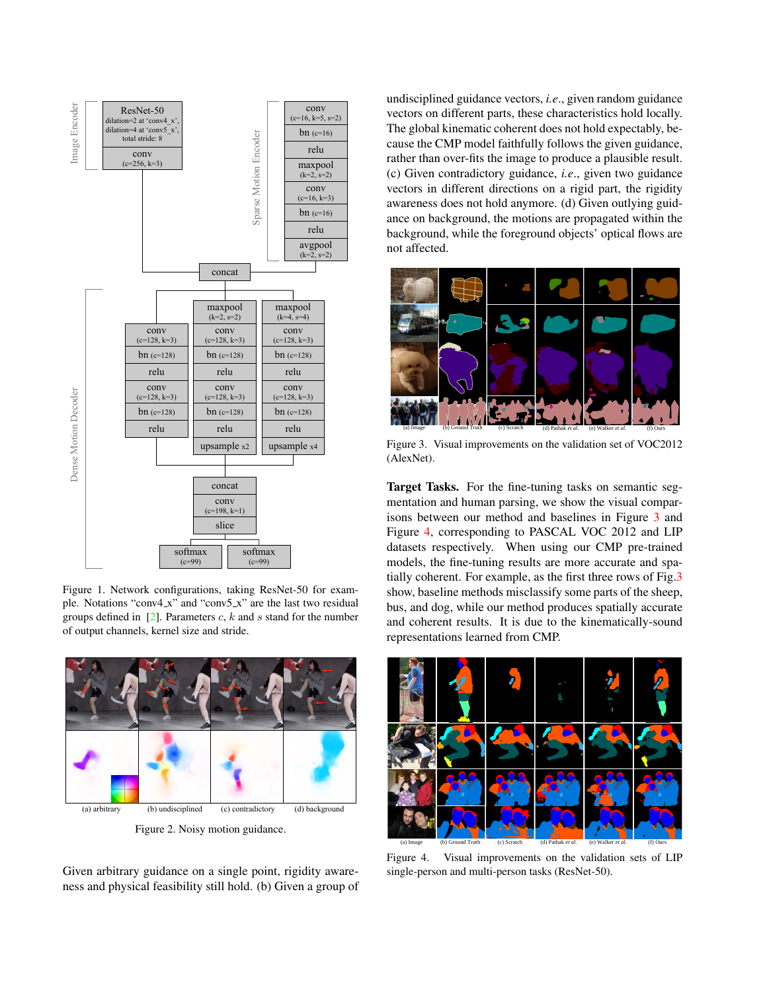<span id="page-1-4"></span>

<span id="page-1-0"></span>Figure 1. Network configurations, taking ResNet-50 for example. Notations "conv4\_x" and "conv5\_x" are the last two residual groups defined in  $[2]$ . Parameters c, k and s stand for the number of output channels, kernel size and stride.



Figure 2. Noisy motion guidance.

<span id="page-1-1"></span>Given arbitrary guidance on a single point, rigidity awareness and physical feasibility still hold. (b) Given a group of undisciplined guidance vectors, *i.e*., given random guidance vectors on different parts, these characteristics hold locally. The global kinematic coherent does not hold expectably, because the CMP model faithfully follows the given guidance, rather than over-fits the image to produce a plausible result. (c) Given contradictory guidance, *i.e*., given two guidance vectors in different directions on a rigid part, the rigidity awareness does not hold anymore. (d) Given outlying guidance on background, the motions are propagated within the background, while the foreground objects' optical flows are not affected.



<span id="page-1-2"></span>Figure 3. Visual improvements on the validation set of VOC2012 (AlexNet).

Target Tasks. For the fine-tuning tasks on semantic segmentation and human parsing, we show the visual comparisons between our method and baselines in Figure [3](#page-1-2) and Figure [4,](#page-1-3) corresponding to PASCAL VOC 2012 and LIP datasets respectively. When using our CMP pre-trained models, the fine-tuning results are more accurate and spatially coherent. For example, as the first three rows of Fig[.3](#page-1-2) show, baseline methods misclassify some parts of the sheep, bus, and dog, while our method produces spatially accurate and coherent results. It is due to the kinematically-sound representations learned from CMP.



<span id="page-1-3"></span>Figure 4. Visual improvements on the validation sets of LIP single-person and multi-person tasks (ResNet-50).